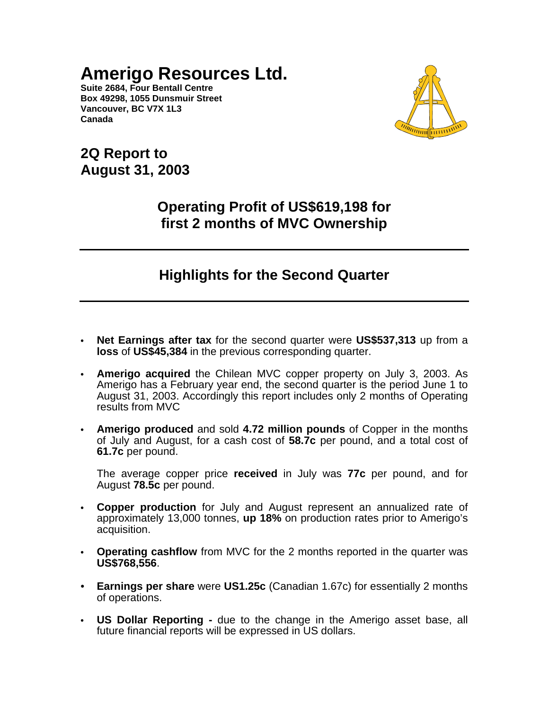**Suite 2684, Four Bentall Centre Box 49298, 1055 Dunsmuir Street Vancouver, BC V7X 1L3 Canada**



**2Q Report to August 31, 2003**

# **Operating Profit of US\$619,198 for first 2 months of MVC Ownership**

# **Highlights for the Second Quarter**

- **• Net Earnings after tax** for the second quarter were **US\$537,313** up from a **loss** of **US\$45,384** in the previous corresponding quarter.
- **• Amerigo acquired** the Chilean MVC copper property on July 3, 2003. As Amerigo has a February year end, the second quarter is the period June 1 to August 31, 2003. Accordingly this report includes only 2 months of Operating results from MVC
- **• Amerigo produced** and sold **4.72 million pounds** of Copper in the months of July and August, for a cash cost of **58.7c** per pound, and a total cost of **61.7c** per pound.

The average copper price **received** in July was **77c** per pound, and for August **78.5c** per pound.

- **• Copper production** for July and August represent an annualized rate of approximately 13,000 tonnes, **up 18%** on production rates prior to Amerigo's acquisition.
- **• Operating cashflow** from MVC for the 2 months reported in the quarter was **US\$768,556**.
- **Earnings per share** were **US1.25c** (Canadian 1.67c) for essentially 2 months of operations.
- **• US Dollar Reporting -** due to the change in the Amerigo asset base, all future financial reports will be expressed in US dollars.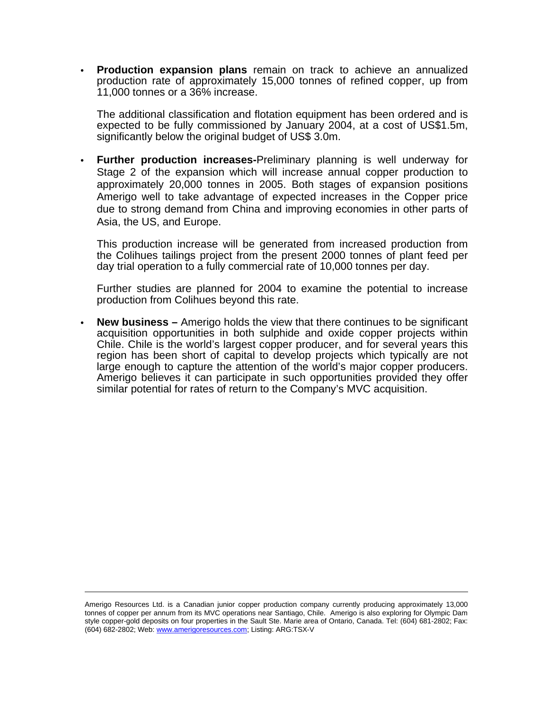**• Production expansion plans** remain on track to achieve an annualized production rate of approximately 15,000 tonnes of refined copper, up from 11,000 tonnes or a 36% increase.

The additional classification and flotation equipment has been ordered and is expected to be fully commissioned by January 2004, at a cost of US\$1.5m, significantly below the original budget of US\$ 3.0m.

**• Further production increases-**Preliminary planning is well underway for Stage 2 of the expansion which will increase annual copper production to approximately 20,000 tonnes in 2005. Both stages of expansion positions Amerigo well to take advantage of expected increases in the Copper price due to strong demand from China and improving economies in other parts of Asia, the US, and Europe.

This production increase will be generated from increased production from the Colihues tailings project from the present 2000 tonnes of plant feed per day trial operation to a fully commercial rate of 10,000 tonnes per day.

Further studies are planned for 2004 to examine the potential to increase production from Colihues beyond this rate.

**• New business –** Amerigo holds the view that there continues to be significant acquisition opportunities in both sulphide and oxide copper projects within Chile. Chile is the world's largest copper producer, and for several years this region has been short of capital to develop projects which typically are not large enough to capture the attention of the world's major copper producers. Amerigo believes it can participate in such opportunities provided they offer similar potential for rates of return to the Company's MVC acquisition.

Amerigo Resources Ltd. is a Canadian junior copper production company currently producing approximately 13,000 tonnes of copper per annum from its MVC operations near Santiago, Chile. Amerigo is also exploring for Olympic Dam style copper-gold deposits on four properties in the Sault Ste. Marie area of Ontario, Canada. Tel: (604) 681-2802; Fax: (604) 682-2802; Web: www.amerigoresources.com; Listing: ARG:TSX-V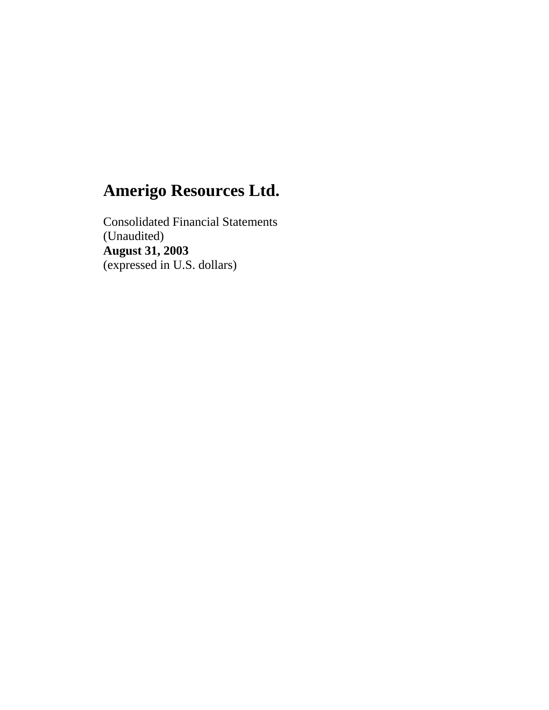Consolidated Financial Statements (Unaudited) **August 31, 2003** (expressed in U.S. dollars)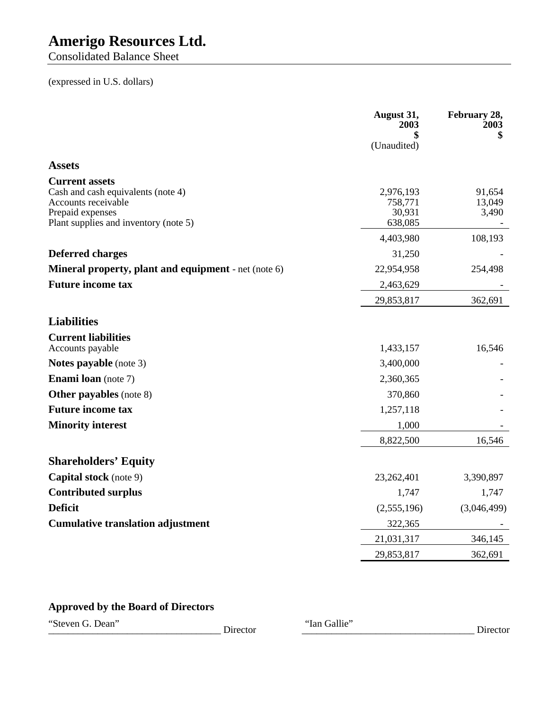Consolidated Balance Sheet

# (expressed in U.S. dollars)

|                                                                                                                                                 | August 31,<br>2003<br>(Unaudited)         | February 28,<br>2003<br>\$ |
|-------------------------------------------------------------------------------------------------------------------------------------------------|-------------------------------------------|----------------------------|
| <b>Assets</b>                                                                                                                                   |                                           |                            |
| <b>Current assets</b><br>Cash and cash equivalents (note 4)<br>Accounts receivable<br>Prepaid expenses<br>Plant supplies and inventory (note 5) | 2,976,193<br>758,771<br>30,931<br>638,085 | 91,654<br>13,049<br>3,490  |
|                                                                                                                                                 | 4,403,980                                 | 108,193                    |
| <b>Deferred charges</b>                                                                                                                         | 31,250                                    |                            |
| <b>Mineral property, plant and equipment</b> - net (note 6)                                                                                     | 22,954,958                                | 254,498                    |
| <b>Future income tax</b>                                                                                                                        | 2,463,629                                 |                            |
|                                                                                                                                                 | 29,853,817                                | 362,691                    |
| <b>Liabilities</b>                                                                                                                              |                                           |                            |
| <b>Current liabilities</b><br>Accounts payable                                                                                                  | 1,433,157                                 | 16,546                     |
| <b>Notes payable</b> (note 3)                                                                                                                   | 3,400,000                                 |                            |
| <b>Enami loan</b> (note 7)                                                                                                                      | 2,360,365                                 |                            |
| <b>Other payables</b> (note 8)                                                                                                                  | 370,860                                   |                            |
| <b>Future income tax</b>                                                                                                                        | 1,257,118                                 |                            |
| <b>Minority interest</b>                                                                                                                        | 1,000                                     |                            |
|                                                                                                                                                 | 8,822,500                                 | 16,546                     |
| <b>Shareholders' Equity</b>                                                                                                                     |                                           |                            |
| <b>Capital stock</b> (note 9)                                                                                                                   | 23,262,401                                | 3,390,897                  |
| <b>Contributed surplus</b>                                                                                                                      | 1,747                                     | 1,747                      |
| <b>Deficit</b>                                                                                                                                  | (2,555,196)                               | (3,046,499)                |
| <b>Cumulative translation adjustment</b>                                                                                                        | 322,365                                   |                            |
|                                                                                                                                                 | 21,031,317                                | 346,145                    |
|                                                                                                                                                 | 29,853,817                                | 362,691                    |

# **Approved by the Board of Directors**

"Steven G. Dean"

\_\_\_\_\_\_\_\_\_\_\_\_\_\_\_\_\_\_\_\_\_\_\_\_\_\_\_\_\_\_\_\_\_\_\_ Director \_\_\_\_\_\_\_\_\_\_\_\_\_\_\_\_\_\_\_\_\_\_\_\_\_\_\_\_\_\_\_\_\_\_\_ Director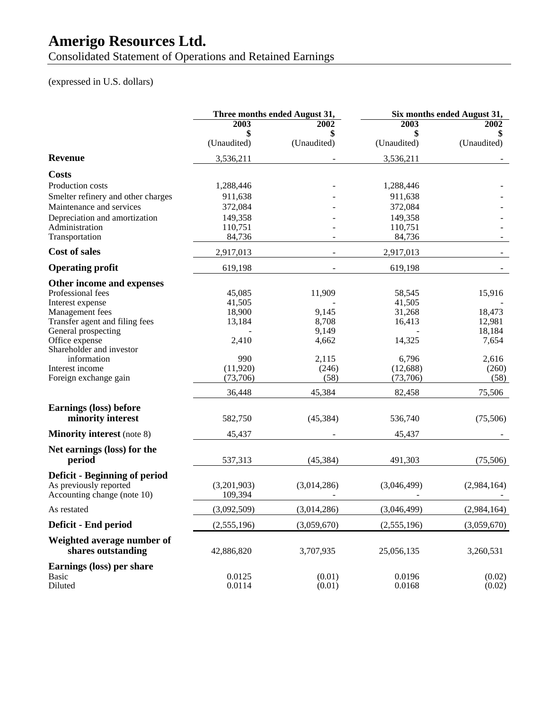Consolidated Statement of Operations and Retained Earnings

# (expressed in U.S. dollars)

|                                                       |             | Three months ended August 31, |             | Six months ended August 31, |
|-------------------------------------------------------|-------------|-------------------------------|-------------|-----------------------------|
|                                                       | 2003        | 2002                          | 2003        | 2002                        |
|                                                       | \$          | \$                            |             |                             |
|                                                       | (Unaudited) | (Unaudited)                   | (Unaudited) | (Unaudited)                 |
| <b>Revenue</b>                                        | 3,536,211   |                               | 3,536,211   |                             |
| <b>Costs</b>                                          |             |                               |             |                             |
| Production costs                                      | 1,288,446   |                               | 1,288,446   |                             |
| Smelter refinery and other charges                    | 911,638     |                               | 911,638     |                             |
| Maintenance and services                              | 372,084     |                               | 372,084     |                             |
| Depreciation and amortization                         | 149,358     |                               | 149,358     |                             |
| Administration                                        | 110,751     |                               | 110,751     |                             |
| Transportation                                        | 84,736      |                               | 84,736      |                             |
| <b>Cost of sales</b>                                  | 2,917,013   |                               | 2,917,013   |                             |
| <b>Operating profit</b>                               | 619,198     |                               | 619,198     |                             |
| Other income and expenses                             |             |                               |             |                             |
| Professional fees                                     | 45,085      | 11,909                        | 58,545      | 15,916                      |
| Interest expense                                      | 41,505      |                               | 41,505      |                             |
| Management fees                                       | 18,900      | 9,145                         | 31,268      | 18,473                      |
| Transfer agent and filing fees<br>General prospecting | 13,184      | 8,708<br>9,149                | 16,413      | 12,981<br>18,184            |
| Office expense                                        | 2,410       | 4,662                         | 14,325      | 7,654                       |
| Shareholder and investor                              |             |                               |             |                             |
| information                                           | 990         | 2,115                         | 6,796       | 2,616                       |
| Interest income                                       | (11,920)    | (246)                         | (12,688)    | (260)                       |
| Foreign exchange gain                                 | (73,706)    | (58)                          | (73,706)    | (58)                        |
|                                                       | 36,448      | 45,384                        | 82,458      | 75,506                      |
| <b>Earnings (loss) before</b>                         |             |                               |             |                             |
| minority interest                                     | 582,750     | (45, 384)                     | 536,740     | (75,506)                    |
| <b>Minority interest</b> (note 8)                     | 45,437      |                               | 45,437      |                             |
| Net earnings (loss) for the                           |             |                               |             |                             |
| period                                                | 537,313     | (45, 384)                     | 491,303     | (75,506)                    |
| Deficit - Beginning of period                         |             |                               |             |                             |
| As previously reported                                | (3,201,903) | (3,014,286)                   | (3,046,499) | (2,984,164)                 |
| Accounting change (note 10)                           | 109,394     |                               |             |                             |
| As restated                                           | (3,092,509) | (3,014,286)                   | (3,046,499) | (2,984,164)                 |
| Deficit - End period                                  | (2,555,196) | (3,059,670)                   | (2,555,196) | (3,059,670)                 |
| Weighted average number of<br>shares outstanding      |             |                               |             |                             |
|                                                       | 42,886,820  | 3,707,935                     | 25,056,135  | 3,260,531                   |
| Earnings (loss) per share                             |             |                               |             |                             |
| Basic                                                 | 0.0125      | (0.01)                        | 0.0196      | (0.02)                      |
| Diluted                                               | 0.0114      | (0.01)                        | 0.0168      | (0.02)                      |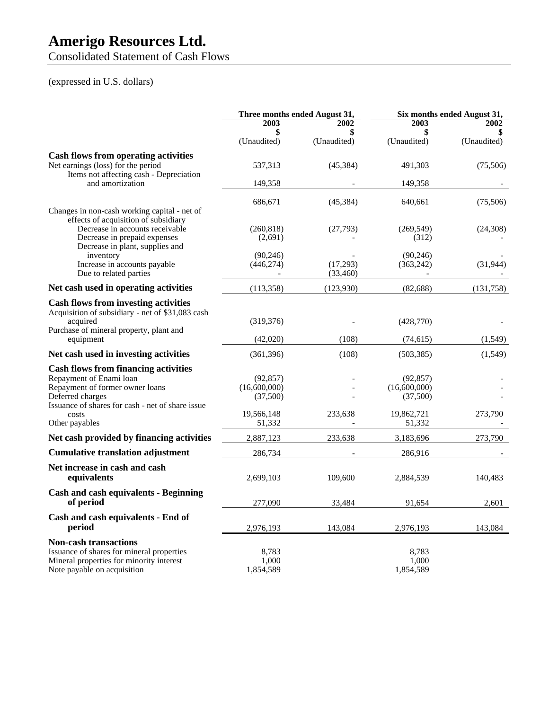Consolidated Statement of Cash Flows

# (expressed in U.S. dollars)

|                                                                                                                                                                                   | Three months ended August 31,         |                           |                                       | Six months ended August 31, |
|-----------------------------------------------------------------------------------------------------------------------------------------------------------------------------------|---------------------------------------|---------------------------|---------------------------------------|-----------------------------|
|                                                                                                                                                                                   | 2003<br>\$<br>(Unaudited)             | 2002<br>\$<br>(Unaudited) | 2003<br>\$<br>(Unaudited)             | 2002<br>(Unaudited)         |
| <b>Cash flows from operating activities</b><br>Net earnings (loss) for the period<br>Items not affecting cash - Depreciation                                                      | 537,313                               | (45,384)                  | 491,303                               | (75,506)                    |
| and amortization                                                                                                                                                                  | 149,358                               |                           | 149,358                               |                             |
| Changes in non-cash working capital - net of                                                                                                                                      | 686,671                               | (45, 384)                 | 640,661                               | (75,506)                    |
| effects of acquisition of subsidiary<br>Decrease in accounts receivable<br>Decrease in prepaid expenses<br>Decrease in plant, supplies and                                        | (260, 818)<br>(2,691)                 | (27,793)                  | (269, 549)<br>(312)                   | (24,308)                    |
| inventory<br>Increase in accounts payable<br>Due to related parties                                                                                                               | (90.246)<br>(446, 274)                | (17,293)<br>(33,460)      | (90.246)<br>(363, 242)                | (31, 944)                   |
| Net cash used in operating activities                                                                                                                                             | (113,358)                             | (123,930)                 | (82,688)                              | (131, 758)                  |
| <b>Cash flows from investing activities</b><br>Acquisition of subsidiary - net of \$31,083 cash<br>acquired<br>Purchase of mineral property, plant and                            | (319, 376)                            |                           | (428,770)                             |                             |
| equipment                                                                                                                                                                         | (42,020)                              | (108)                     | (74, 615)                             | (1,549)                     |
| Net cash used in investing activities                                                                                                                                             | (361, 396)                            | (108)                     | (503, 385)                            | (1, 549)                    |
| <b>Cash flows from financing activities</b><br>Repayment of Enami loan<br>Repayment of former owner loans<br>Deferred charges<br>Issuance of shares for cash - net of share issue | (92, 857)<br>(16,600,000)<br>(37,500) |                           | (92, 857)<br>(16,600,000)<br>(37,500) |                             |
| costs<br>Other payables                                                                                                                                                           | 19,566,148<br>51,332                  | 233,638                   | 19,862,721<br>51,332                  | 273,790                     |
| Net cash provided by financing activities                                                                                                                                         | 2,887,123                             | 233,638                   | 3,183,696                             | 273,790                     |
| <b>Cumulative translation adjustment</b>                                                                                                                                          | 286,734                               |                           | 286,916                               |                             |
| Net increase in cash and cash<br>equivalents                                                                                                                                      | 2,699,103                             | 109,600                   | 2,884,539                             | 140,483                     |
| <b>Cash and cash equivalents - Beginning</b><br>of period                                                                                                                         | 277,090                               | 33,484                    | 91,654                                | 2,601                       |
| Cash and cash equivalents - End of<br>period                                                                                                                                      | 2,976,193                             | 143,084                   | 2,976,193                             | 143,084                     |
| <b>Non-cash transactions</b><br>Issuance of shares for mineral properties<br>Mineral properties for minority interest<br>Note payable on acquisition                              | 8,783<br>1,000<br>1,854,589           |                           | 8,783<br>1.000<br>1,854,589           |                             |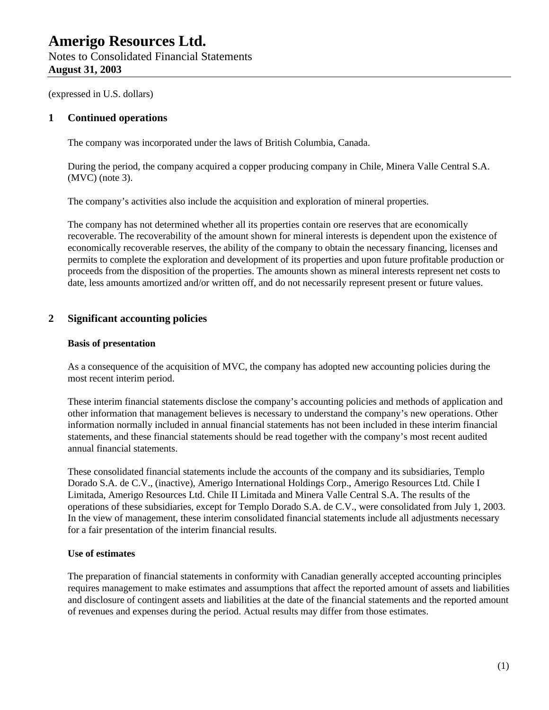(expressed in U.S. dollars)

### **1 Continued operations**

The company was incorporated under the laws of British Columbia, Canada.

During the period, the company acquired a copper producing company in Chile, Minera Valle Central S.A. (MVC) (note 3).

The company's activities also include the acquisition and exploration of mineral properties.

The company has not determined whether all its properties contain ore reserves that are economically recoverable. The recoverability of the amount shown for mineral interests is dependent upon the existence of economically recoverable reserves, the ability of the company to obtain the necessary financing, licenses and permits to complete the exploration and development of its properties and upon future profitable production or proceeds from the disposition of the properties. The amounts shown as mineral interests represent net costs to date, less amounts amortized and/or written off, and do not necessarily represent present or future values.

### **2 Significant accounting policies**

#### **Basis of presentation**

As a consequence of the acquisition of MVC, the company has adopted new accounting policies during the most recent interim period.

These interim financial statements disclose the company's accounting policies and methods of application and other information that management believes is necessary to understand the company's new operations. Other information normally included in annual financial statements has not been included in these interim financial statements, and these financial statements should be read together with the company's most recent audited annual financial statements.

These consolidated financial statements include the accounts of the company and its subsidiaries, Templo Dorado S.A. de C.V., (inactive), Amerigo International Holdings Corp., Amerigo Resources Ltd. Chile I Limitada, Amerigo Resources Ltd. Chile II Limitada and Minera Valle Central S.A. The results of the operations of these subsidiaries, except for Templo Dorado S.A. de C.V., were consolidated from July 1, 2003. In the view of management, these interim consolidated financial statements include all adjustments necessary for a fair presentation of the interim financial results.

### **Use of estimates**

The preparation of financial statements in conformity with Canadian generally accepted accounting principles requires management to make estimates and assumptions that affect the reported amount of assets and liabilities and disclosure of contingent assets and liabilities at the date of the financial statements and the reported amount of revenues and expenses during the period. Actual results may differ from those estimates.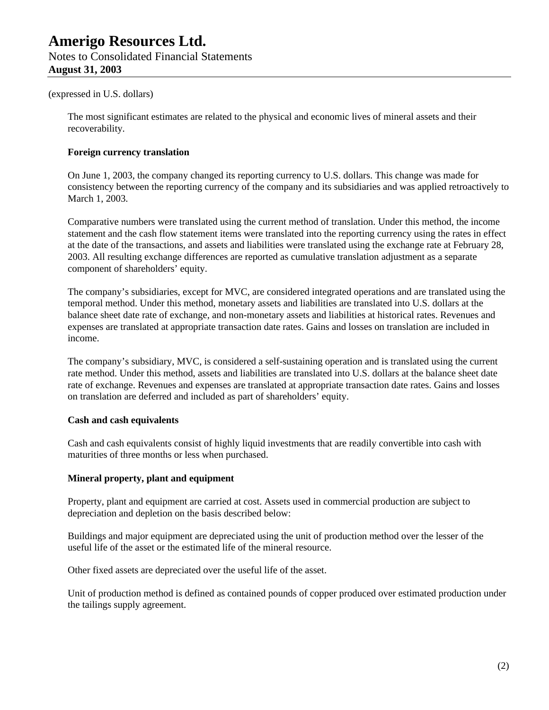#### (expressed in U.S. dollars)

The most significant estimates are related to the physical and economic lives of mineral assets and their recoverability.

#### **Foreign currency translation**

On June 1, 2003, the company changed its reporting currency to U.S. dollars. This change was made for consistency between the reporting currency of the company and its subsidiaries and was applied retroactively to March 1, 2003.

Comparative numbers were translated using the current method of translation. Under this method, the income statement and the cash flow statement items were translated into the reporting currency using the rates in effect at the date of the transactions, and assets and liabilities were translated using the exchange rate at February 28, 2003. All resulting exchange differences are reported as cumulative translation adjustment as a separate component of shareholders' equity.

The company's subsidiaries, except for MVC, are considered integrated operations and are translated using the temporal method. Under this method, monetary assets and liabilities are translated into U.S. dollars at the balance sheet date rate of exchange, and non-monetary assets and liabilities at historical rates. Revenues and expenses are translated at appropriate transaction date rates. Gains and losses on translation are included in income.

The company's subsidiary, MVC, is considered a self-sustaining operation and is translated using the current rate method. Under this method, assets and liabilities are translated into U.S. dollars at the balance sheet date rate of exchange. Revenues and expenses are translated at appropriate transaction date rates. Gains and losses on translation are deferred and included as part of shareholders' equity.

#### **Cash and cash equivalents**

Cash and cash equivalents consist of highly liquid investments that are readily convertible into cash with maturities of three months or less when purchased.

#### **Mineral property, plant and equipment**

Property, plant and equipment are carried at cost. Assets used in commercial production are subject to depreciation and depletion on the basis described below:

Buildings and major equipment are depreciated using the unit of production method over the lesser of the useful life of the asset or the estimated life of the mineral resource.

Other fixed assets are depreciated over the useful life of the asset.

Unit of production method is defined as contained pounds of copper produced over estimated production under the tailings supply agreement.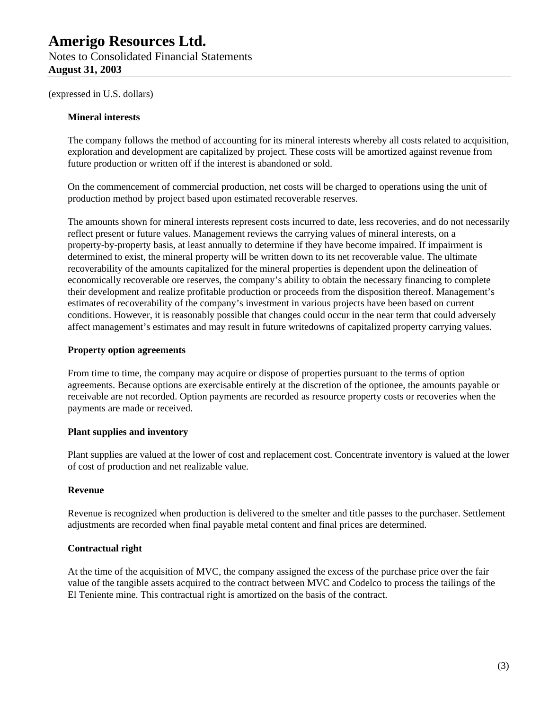# **August 31, 2003**

(expressed in U.S. dollars)

### **Mineral interests**

The company follows the method of accounting for its mineral interests whereby all costs related to acquisition, exploration and development are capitalized by project. These costs will be amortized against revenue from future production or written off if the interest is abandoned or sold.

On the commencement of commercial production, net costs will be charged to operations using the unit of production method by project based upon estimated recoverable reserves.

The amounts shown for mineral interests represent costs incurred to date, less recoveries, and do not necessarily reflect present or future values. Management reviews the carrying values of mineral interests, on a property-by-property basis, at least annually to determine if they have become impaired. If impairment is determined to exist, the mineral property will be written down to its net recoverable value. The ultimate recoverability of the amounts capitalized for the mineral properties is dependent upon the delineation of economically recoverable ore reserves, the company's ability to obtain the necessary financing to complete their development and realize profitable production or proceeds from the disposition thereof. Management's estimates of recoverability of the company's investment in various projects have been based on current conditions. However, it is reasonably possible that changes could occur in the near term that could adversely affect management's estimates and may result in future writedowns of capitalized property carrying values.

### **Property option agreements**

From time to time, the company may acquire or dispose of properties pursuant to the terms of option agreements. Because options are exercisable entirely at the discretion of the optionee, the amounts payable or receivable are not recorded. Option payments are recorded as resource property costs or recoveries when the payments are made or received.

### **Plant supplies and inventory**

Plant supplies are valued at the lower of cost and replacement cost. Concentrate inventory is valued at the lower of cost of production and net realizable value.

#### **Revenue**

Revenue is recognized when production is delivered to the smelter and title passes to the purchaser. Settlement adjustments are recorded when final payable metal content and final prices are determined.

### **Contractual right**

At the time of the acquisition of MVC, the company assigned the excess of the purchase price over the fair value of the tangible assets acquired to the contract between MVC and Codelco to process the tailings of the El Teniente mine. This contractual right is amortized on the basis of the contract.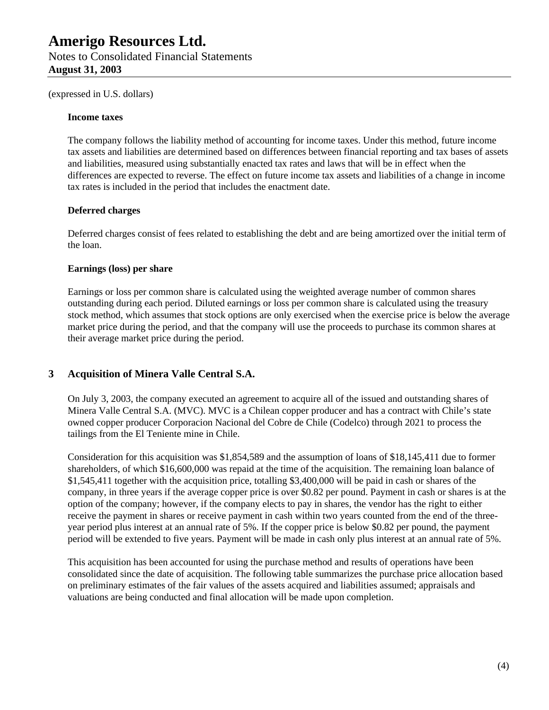(expressed in U.S. dollars)

#### **Income taxes**

The company follows the liability method of accounting for income taxes. Under this method, future income tax assets and liabilities are determined based on differences between financial reporting and tax bases of assets and liabilities, measured using substantially enacted tax rates and laws that will be in effect when the differences are expected to reverse. The effect on future income tax assets and liabilities of a change in income tax rates is included in the period that includes the enactment date.

### **Deferred charges**

Deferred charges consist of fees related to establishing the debt and are being amortized over the initial term of the loan.

### **Earnings (loss) per share**

Earnings or loss per common share is calculated using the weighted average number of common shares outstanding during each period. Diluted earnings or loss per common share is calculated using the treasury stock method, which assumes that stock options are only exercised when the exercise price is below the average market price during the period, and that the company will use the proceeds to purchase its common shares at their average market price during the period.

## **3 Acquisition of Minera Valle Central S.A.**

On July 3, 2003, the company executed an agreement to acquire all of the issued and outstanding shares of Minera Valle Central S.A. (MVC). MVC is a Chilean copper producer and has a contract with Chile's state owned copper producer Corporacion Nacional del Cobre de Chile (Codelco) through 2021 to process the tailings from the El Teniente mine in Chile.

Consideration for this acquisition was \$1,854,589 and the assumption of loans of \$18,145,411 due to former shareholders, of which \$16,600,000 was repaid at the time of the acquisition. The remaining loan balance of \$1,545,411 together with the acquisition price, totalling \$3,400,000 will be paid in cash or shares of the company, in three years if the average copper price is over \$0.82 per pound. Payment in cash or shares is at the option of the company; however, if the company elects to pay in shares, the vendor has the right to either receive the payment in shares or receive payment in cash within two years counted from the end of the threeyear period plus interest at an annual rate of 5%. If the copper price is below \$0.82 per pound, the payment period will be extended to five years. Payment will be made in cash only plus interest at an annual rate of 5%.

This acquisition has been accounted for using the purchase method and results of operations have been consolidated since the date of acquisition. The following table summarizes the purchase price allocation based on preliminary estimates of the fair values of the assets acquired and liabilities assumed; appraisals and valuations are being conducted and final allocation will be made upon completion.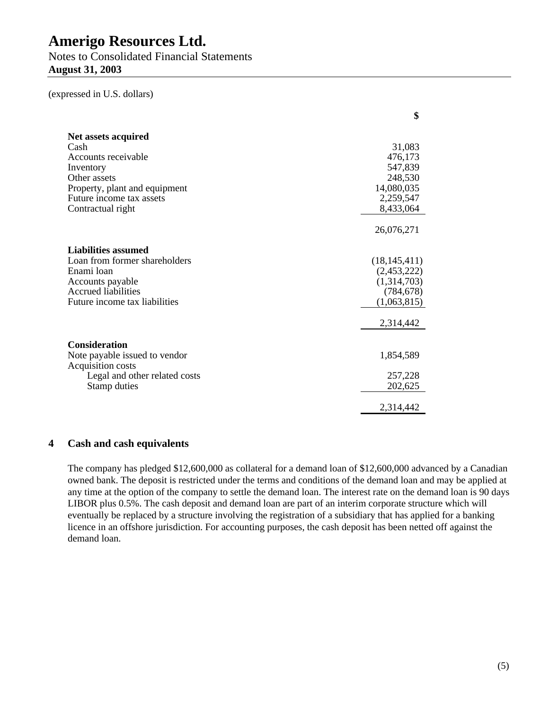Notes to Consolidated Financial Statements **August 31, 2003**

(expressed in U.S. dollars)

|                                                    | \$             |
|----------------------------------------------------|----------------|
| Net assets acquired                                |                |
| Cash                                               | 31,083         |
| Accounts receivable                                | 476,173        |
| Inventory                                          | 547,839        |
| Other assets                                       | 248,530        |
| Property, plant and equipment                      | 14,080,035     |
| Future income tax assets                           | 2,259,547      |
| Contractual right                                  | 8,433,064      |
|                                                    | 26,076,271     |
| Liabilities assumed                                |                |
| Loan from former shareholders                      | (18, 145, 411) |
| Enami loan                                         | (2,453,222)    |
| Accounts payable                                   | (1,314,703)    |
| <b>Accrued liabilities</b>                         | (784, 678)     |
| Future income tax liabilities                      | (1,063,815)    |
|                                                    | 2,314,442      |
|                                                    |                |
| <b>Consideration</b>                               | 1,854,589      |
| Note payable issued to vendor<br>Acquisition costs |                |
| Legal and other related costs                      | 257,228        |
| Stamp duties                                       | 202,625        |
|                                                    |                |
|                                                    | 2,314,442      |

### **4 Cash and cash equivalents**

The company has pledged \$12,600,000 as collateral for a demand loan of \$12,600,000 advanced by a Canadian owned bank. The deposit is restricted under the terms and conditions of the demand loan and may be applied at any time at the option of the company to settle the demand loan. The interest rate on the demand loan is 90 days LIBOR plus 0.5%. The cash deposit and demand loan are part of an interim corporate structure which will eventually be replaced by a structure involving the registration of a subsidiary that has applied for a banking licence in an offshore jurisdiction. For accounting purposes, the cash deposit has been netted off against the demand loan.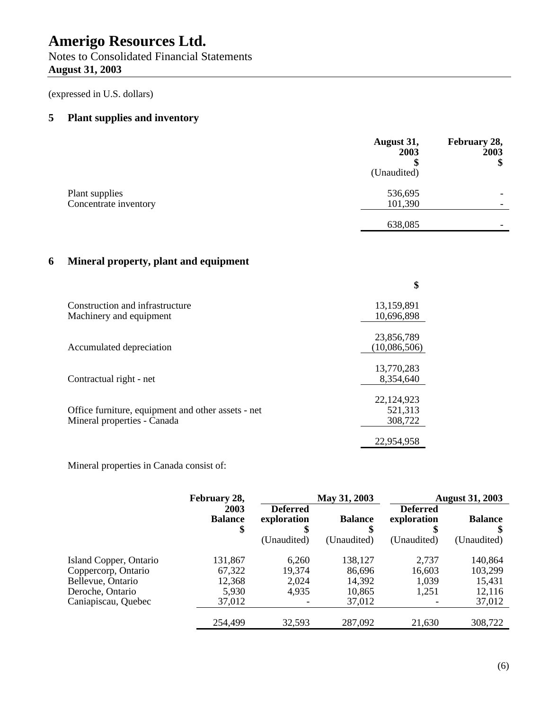Notes to Consolidated Financial Statements **August 31, 2003**

(expressed in U.S. dollars)

## **5 Plant supplies and inventory**

|                                         | August 31,<br>2003<br>(Unaudited) | February 28,<br>2003<br>\$ |
|-----------------------------------------|-----------------------------------|----------------------------|
| Plant supplies<br>Concentrate inventory | 536,695<br>101,390                |                            |
|                                         | 638,085                           |                            |

## **6 Mineral property, plant and equipment**

|                                                    | \$           |
|----------------------------------------------------|--------------|
| Construction and infrastructure                    | 13,159,891   |
| Machinery and equipment                            | 10,696,898   |
|                                                    | 23,856,789   |
| Accumulated depreciation                           | (10,086,506) |
|                                                    | 13,770,283   |
| Contractual right - net                            | 8,354,640    |
|                                                    | 22,124,923   |
| Office furniture, equipment and other assets - net | 521,313      |
| Mineral properties - Canada                        | 308,722      |
|                                                    | 22.954.958   |

Mineral properties in Canada consist of:

|                                                                                        | February 28,                         |                                                     | May 31, 2003                          |                                               | <b>August 31, 2003</b>                 |
|----------------------------------------------------------------------------------------|--------------------------------------|-----------------------------------------------------|---------------------------------------|-----------------------------------------------|----------------------------------------|
|                                                                                        | 2003<br><b>Balance</b><br>\$         | <b>Deferred</b><br>exploration<br>\$<br>(Unaudited) | <b>Balance</b><br>(Unaudited)         | <b>Deferred</b><br>exploration<br>(Unaudited) | <b>Balance</b><br>(Unaudited)          |
| Island Copper, Ontario<br>Coppercorp, Ontario<br>Bellevue, Ontario<br>Deroche, Ontario | 131,867<br>67,322<br>12,368<br>5,930 | 6,260<br>19,374<br>2,024<br>4,935                   | 138,127<br>86,696<br>14,392<br>10,865 | 2,737<br>16,603<br>1,039<br>1,251             | 140,864<br>103,299<br>15,431<br>12,116 |
| Caniapiscau, Quebec                                                                    | 37,012                               |                                                     | 37,012                                |                                               | 37,012                                 |
|                                                                                        | 254,499                              | 32,593                                              | 287,092                               | 21,630                                        | 308,722                                |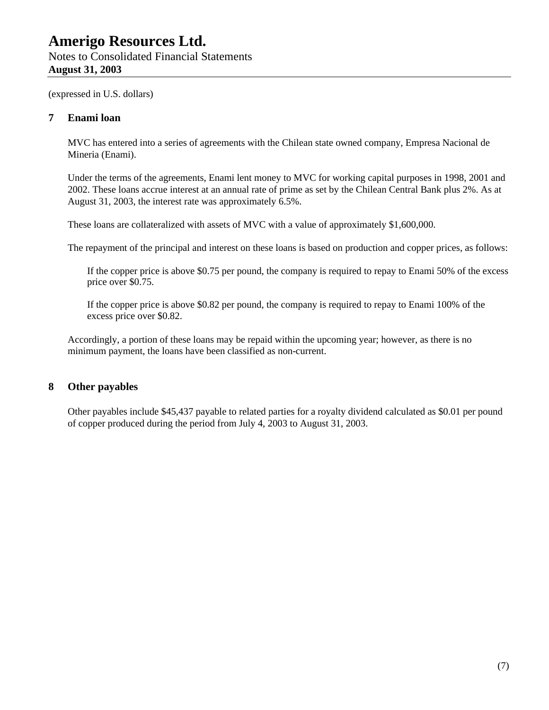(expressed in U.S. dollars)

### **7 Enami loan**

MVC has entered into a series of agreements with the Chilean state owned company, Empresa Nacional de Mineria (Enami).

Under the terms of the agreements, Enami lent money to MVC for working capital purposes in 1998, 2001 and 2002. These loans accrue interest at an annual rate of prime as set by the Chilean Central Bank plus 2%. As at August 31, 2003, the interest rate was approximately 6.5%.

These loans are collateralized with assets of MVC with a value of approximately \$1,600,000.

The repayment of the principal and interest on these loans is based on production and copper prices, as follows:

If the copper price is above \$0.75 per pound, the company is required to repay to Enami 50% of the excess price over \$0.75.

If the copper price is above \$0.82 per pound, the company is required to repay to Enami 100% of the excess price over \$0.82.

Accordingly, a portion of these loans may be repaid within the upcoming year; however, as there is no minimum payment, the loans have been classified as non-current.

### **8 Other payables**

Other payables include \$45,437 payable to related parties for a royalty dividend calculated as \$0.01 per pound of copper produced during the period from July 4, 2003 to August 31, 2003.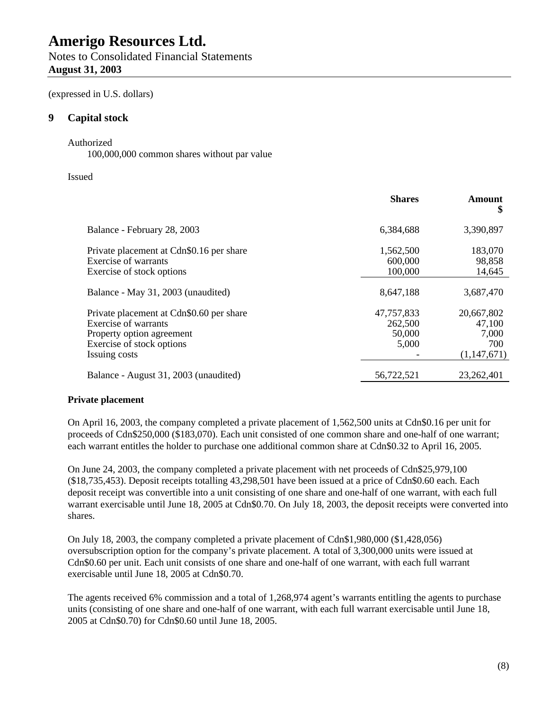Notes to Consolidated Financial Statements **August 31, 2003**

(expressed in U.S. dollars)

## **9 Capital stock**

#### Authorized

100,000,000 common shares without par value

#### Issued

|                                                                                                                                             | <b>Shares</b>                            | Amount<br>\$                                        |
|---------------------------------------------------------------------------------------------------------------------------------------------|------------------------------------------|-----------------------------------------------------|
| Balance - February 28, 2003                                                                                                                 | 6,384,688                                | 3,390,897                                           |
| Private placement at Cdn\$0.16 per share<br>1,562,500<br>Exercise of warrants<br>600,000<br>100,000<br>Exercise of stock options            |                                          | 183,070<br>98,858<br>14,645                         |
| 8,647,188<br>Balance - May 31, 2003 (unaudited)                                                                                             |                                          | 3,687,470                                           |
| Private placement at Cdn\$0.60 per share<br>Exercise of warrants<br>Property option agreement<br>Exercise of stock options<br>Issuing costs | 47,757,833<br>262,500<br>50,000<br>5,000 | 20,667,802<br>47,100<br>7,000<br>700<br>(1,147,671) |
| Balance - August 31, 2003 (unaudited)                                                                                                       | 56,722,521                               | 23,262,401                                          |

### **Private placement**

On April 16, 2003, the company completed a private placement of 1,562,500 units at Cdn\$0.16 per unit for proceeds of Cdn\$250,000 (\$183,070). Each unit consisted of one common share and one-half of one warrant; each warrant entitles the holder to purchase one additional common share at Cdn\$0.32 to April 16, 2005.

On June 24, 2003, the company completed a private placement with net proceeds of Cdn\$25,979,100 (\$18,735,453). Deposit receipts totalling 43,298,501 have been issued at a price of Cdn\$0.60 each. Each deposit receipt was convertible into a unit consisting of one share and one-half of one warrant, with each full warrant exercisable until June 18, 2005 at Cdn\$0.70. On July 18, 2003, the deposit receipts were converted into shares.

On July 18, 2003, the company completed a private placement of Cdn\$1,980,000 (\$1,428,056) oversubscription option for the company's private placement. A total of 3,300,000 units were issued at Cdn\$0.60 per unit. Each unit consists of one share and one-half of one warrant, with each full warrant exercisable until June 18, 2005 at Cdn\$0.70.

The agents received 6% commission and a total of 1,268,974 agent's warrants entitling the agents to purchase units (consisting of one share and one-half of one warrant, with each full warrant exercisable until June 18, 2005 at Cdn\$0.70) for Cdn\$0.60 until June 18, 2005.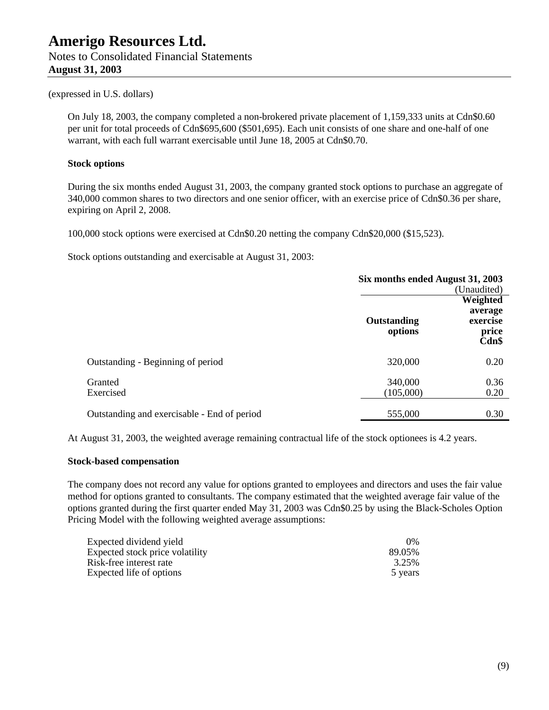# (expressed in U.S. dollars)

**August 31, 2003**

On July 18, 2003, the company completed a non-brokered private placement of 1,159,333 units at Cdn\$0.60 per unit for total proceeds of Cdn\$695,600 (\$501,695). Each unit consists of one share and one-half of one warrant, with each full warrant exercisable until June 18, 2005 at Cdn\$0.70.

#### **Stock options**

During the six months ended August 31, 2003, the company granted stock options to purchase an aggregate of 340,000 common shares to two directors and one senior officer, with an exercise price of Cdn\$0.36 per share, expiring on April 2, 2008.

100,000 stock options were exercised at Cdn\$0.20 netting the company Cdn\$20,000 (\$15,523).

Stock options outstanding and exercisable at August 31, 2003:

|                                             | Six months ended August 31, 2003 |                                       |
|---------------------------------------------|----------------------------------|---------------------------------------|
|                                             |                                  | (Unaudited)                           |
|                                             |                                  | Weighted                              |
|                                             | Outstanding<br>options           | average<br>exercise<br>price<br>Cdn\$ |
| Outstanding - Beginning of period           | 320,000                          | 0.20                                  |
| Granted<br>Exercised                        | 340,000<br>(105,000)             | 0.36<br>0.20                          |
| Outstanding and exercisable - End of period | 555,000                          | 0.30                                  |

At August 31, 2003, the weighted average remaining contractual life of the stock optionees is 4.2 years.

#### **Stock-based compensation**

The company does not record any value for options granted to employees and directors and uses the fair value method for options granted to consultants. The company estimated that the weighted average fair value of the options granted during the first quarter ended May 31, 2003 was Cdn\$0.25 by using the Black-Scholes Option Pricing Model with the following weighted average assumptions:

| Expected dividend yield         | $0\%$   |
|---------------------------------|---------|
| Expected stock price volatility | 89.05%  |
| Risk-free interest rate         | 3.25%   |
| Expected life of options        | 5 years |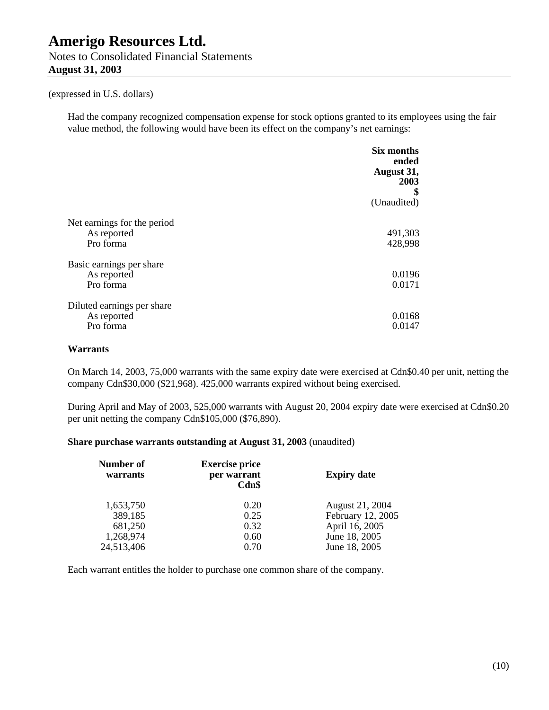Notes to Consolidated Financial Statements **August 31, 2003**

#### (expressed in U.S. dollars)

Had the company recognized compensation expense for stock options granted to its employees using the fair value method, the following would have been its effect on the company's net earnings:

|                                                         | <b>Six months</b><br>ended<br>August 31,<br>2003<br>\$<br>(Unaudited) |
|---------------------------------------------------------|-----------------------------------------------------------------------|
| Net earnings for the period<br>As reported<br>Pro forma | 491,303<br>428,998                                                    |
| Basic earnings per share<br>As reported<br>Pro forma    | 0.0196<br>0.0171                                                      |
| Diluted earnings per share<br>As reported<br>Pro forma  | 0.0168<br>0.0147                                                      |

#### **Warrants**

On March 14, 2003, 75,000 warrants with the same expiry date were exercised at Cdn\$0.40 per unit, netting the company Cdn\$30,000 (\$21,968). 425,000 warrants expired without being exercised.

During April and May of 2003, 525,000 warrants with August 20, 2004 expiry date were exercised at Cdn\$0.20 per unit netting the company Cdn\$105,000 (\$76,890).

#### **Share purchase warrants outstanding at August 31, 2003** (unaudited)

| <b>Expiry date</b> | <b>Exercise price</b><br>per warrant<br>Cdn\$ | Number of<br>warrants |  |
|--------------------|-----------------------------------------------|-----------------------|--|
| August 21, 2004    | 0.20                                          | 1,653,750             |  |
| February 12, 2005  | 0.25                                          | 389,185               |  |
| April 16, 2005     | 0.32                                          | 681,250               |  |
| June 18, 2005      | 0.60                                          | 1,268,974             |  |
| June 18, 2005      | 0.70                                          | 24,513,406            |  |
|                    |                                               |                       |  |

Each warrant entitles the holder to purchase one common share of the company.